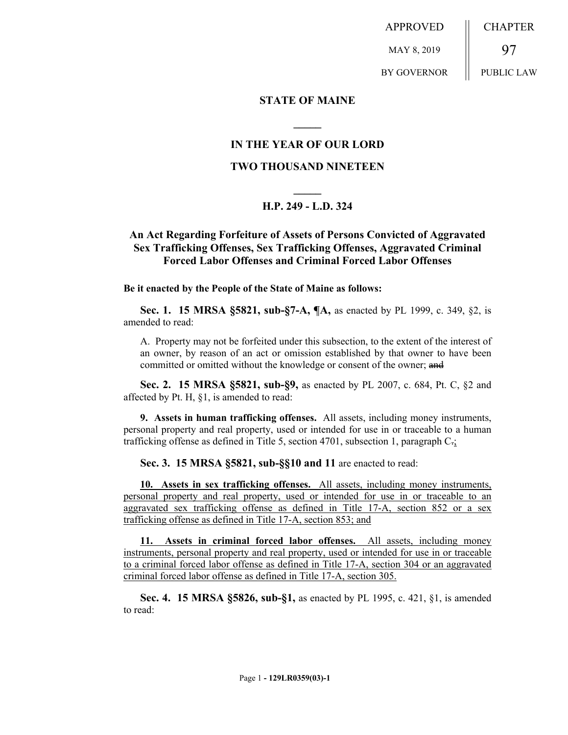APPROVED MAY 8, 2019 BY GOVERNOR CHAPTER 97 PUBLIC LAW

#### **STATE OF MAINE**

## **IN THE YEAR OF OUR LORD**

**\_\_\_\_\_**

#### **TWO THOUSAND NINETEEN**

# **\_\_\_\_\_ H.P. 249 - L.D. 324**

## **An Act Regarding Forfeiture of Assets of Persons Convicted of Aggravated Sex Trafficking Offenses, Sex Trafficking Offenses, Aggravated Criminal Forced Labor Offenses and Criminal Forced Labor Offenses**

**Be it enacted by the People of the State of Maine as follows:**

**Sec. 1. 15 MRSA §5821, sub-§7-A, ¶A,** as enacted by PL 1999, c. 349, §2, is amended to read:

A. Property may not be forfeited under this subsection, to the extent of the interest of an owner, by reason of an act or omission established by that owner to have been committed or omitted without the knowledge or consent of the owner; and

**Sec. 2. 15 MRSA §5821, sub-§9,** as enacted by PL 2007, c. 684, Pt. C, §2 and affected by Pt. H, §1, is amended to read:

**9. Assets in human trafficking offenses.** All assets, including money instruments, personal property and real property, used or intended for use in or traceable to a human trafficking offense as defined in Title 5, section 4701, subsection 1, paragraph  $C_{\tau}$ ;

**Sec. 3. 15 MRSA §5821, sub-§§10 and 11** are enacted to read:

**10. Assets in sex trafficking offenses.** All assets, including money instruments, personal property and real property, used or intended for use in or traceable to an aggravated sex trafficking offense as defined in Title 17-A, section 852 or a sex trafficking offense as defined in Title 17-A, section 853; and

**11. Assets in criminal forced labor offenses.** All assets, including money instruments, personal property and real property, used or intended for use in or traceable to a criminal forced labor offense as defined in Title 17-A, section 304 or an aggravated criminal forced labor offense as defined in Title 17-A, section 305.

**Sec. 4. 15 MRSA §5826, sub-§1,** as enacted by PL 1995, c. 421, §1, is amended to read: